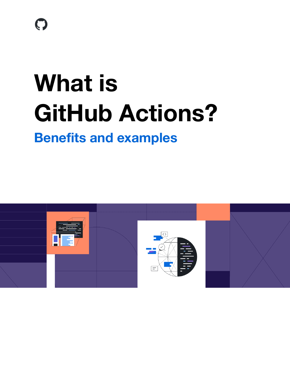$\boldsymbol{\Theta}$ 

# **What is GitHub Actions?**

### **Benefits and examples**

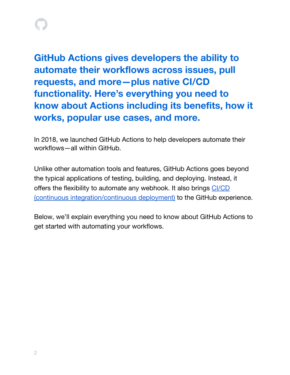**GitHub Actions gives developers the ability to automate their workflows across issues, pull requests, and more—plus native CI/CD functionality. Here's everything you need to know about Actions including its benefits, how it works, popular use cases, and more.**

In 2018, we launched GitHub Actions to help developers automate their workflows—all within GitHub.

Unlike other automation tools and features, GitHub Actions goes beyond the typical applications of testing, building, and deploying. Instead, it offers the flexibility to automate any webhook. It also brings [CI/CD](https://resources.github.com/ci-cd/?scid=7013o000002CceTAAS) (continuous [integration/continuous](https://resources.github.com/ci-cd/?scid=7013o000002CceTAAS) deployment) to the GitHub experience.

Below, we'll explain everything you need to know about GitHub Actions to get started with automating your workflows.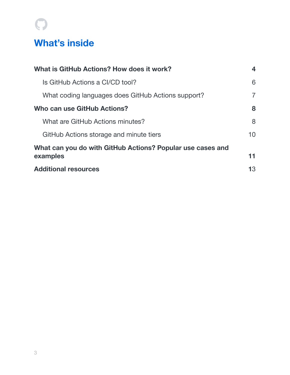# $\bigcirc$

### **What's inside**

| What is GitHub Actions? How does it work?                  | 4               |  |
|------------------------------------------------------------|-----------------|--|
| Is GitHub Actions a CI/CD tool?                            | 6               |  |
| What coding languages does GitHub Actions support?         | 7               |  |
| Who can use GitHub Actions?                                | 8               |  |
| What are GitHub Actions minutes?                           | 8               |  |
| GitHub Actions storage and minute tiers                    | 10 <sup>1</sup> |  |
| What can you do with GitHub Actions? Popular use cases and |                 |  |
| examples                                                   | 11              |  |
| <b>Additional resources</b>                                | 13              |  |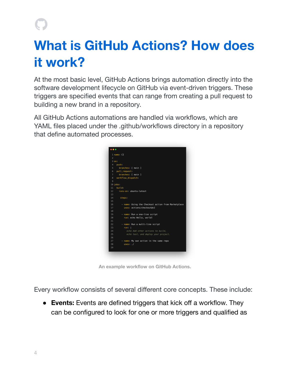# <span id="page-3-0"></span>**What is GitHub Actions? How does it work?**

At the most basic level, GitHub Actions brings automation directly into the software development lifecycle on GitHub via event-driven triggers. These triggers are specified events that can range from creating a pull request to building a new brand in a repository.

All GitHub Actions automations are handled via workflows, which are YAML files placed under the .github/workflows directory in a repository that define automated processes.



**An example workflow on GitHub Actions.**

Every workflow consists of several different core concepts. These include:

**● Events:** Events are defined triggers that kick off a workflow. They can be configured to look for one or more triggers and qualified as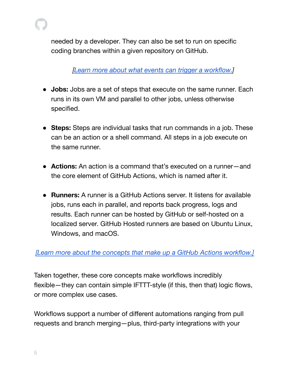

*[Learn more about what events can trigger a [workflow.](https://docs.github.com/en/actions/learn-github-actions/events-that-trigger-workflows?scid=7013o000002CceTAAS)]*

- **● Jobs:** Jobs are a set of steps that execute on the same runner. Each runs in its own VM and parallel to other jobs, unless otherwise specified.
- **● Steps:** Steps are individual tasks that run commands in a job. These can be an action or a shell command. All steps in a job execute on the same runner.
- **Actions:** An action is a command that's executed on a runner—and the core element of GitHub Actions, which is named after it.
- **● Runners:** A runner is a GitHub Actions server. It listens for available jobs, runs each in parallel, and reports back progress, logs and results. Each runner can be hosted by GitHub or self-hosted on a localized server. GitHub Hosted runners are based on Ubuntu Linux, Windows, and macOS.

### *[Learn more about the concepts that make up a GitHub Actions [workflow.\]](https://docs.github.com/en/actions/learn-github-actions/understanding-github-actions?scid=7013o000002CceTAAS)*

Taken together, these core concepts make workflows incredibly flexible—they can contain simple IFTTT-style (if this, then that) logic flows, or more complex use cases.

Workflows support a number of different automations ranging from pull requests and branch merging—plus, third-party integrations with your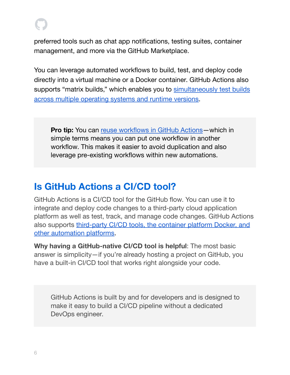preferred tools such as chat app notifications, testing suites, container management, and more via the GitHub Marketplace.

You can leverage automated workflows to build, test, and deploy code directly into a virtual machine or a Docker container. GitHub Actions also supports "matrix builds," which enables you to [simultaneously](https://docs.github.com/en/actions/learn-github-actions/managing-complex-workflows?scid=7013o000002CceTAAS#using-a-build-matrix) test builds across multiple [operating](https://docs.github.com/en/actions/learn-github-actions/managing-complex-workflows?scid=7013o000002CceTAAS#using-a-build-matrix) systems and runtime versions.

**Pro tip:** You can reuse [workflows](https://docs.github.com/en/actions/learn-github-actions/reusing-workflows?scid=7013o000002CceTAAS) in GitHub Actions—which in simple terms means you can put one workflow in another workflow. This makes it easier to avoid duplication and also leverage pre-existing workflows within new automations.

### <span id="page-5-0"></span>**Is GitHub Actions a CI/CD tool?**

GitHub Actions is a CI/CD tool for the GitHub flow. You can use it to integrate and deploy code changes to a third-party cloud application platform as well as test, track, and manage code changes. GitHub Actions also supports [third-party](https://docs.github.com/en/actions/automating-builds-and-tests/about-continuous-integration?scid=7013o000002CceTAAS) CI/CD tools, the container platform Docker, and other [automation](https://docs.github.com/en/actions/automating-builds-and-tests/about-continuous-integration?scid=7013o000002CceTAAS) platforms.

**Why having a GitHub-native CI/CD tool is helpful**: The most basic answer is simplicity—if you're already hosting a project on GitHub, you have a built-in CI/CD tool that works right alongside your code.

GitHub Actions is built by and for developers and is designed to make it easy to build a CI/CD pipeline without a dedicated DevOps engineer.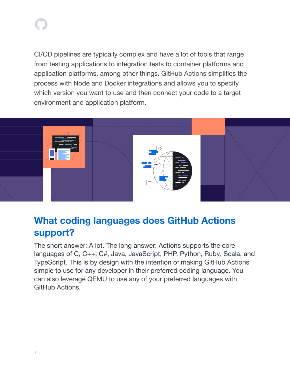CI/CD pipelines are typically complex and have a lot of tools that range from testing applications to integration tests to container platforms and application platforms, among other things. GitHub Actions simplifies the process with Node and Docker integrations and allows you to specify which version you want to use and then connect your code to a target environment and application platform.



### <span id="page-6-0"></span>**What coding languages does GitHub Actions support?**

The short answer: A lot. The long answer: Actions supports the core languages of C, C++, C#, Java, JavaScript, PHP, Python, Ruby, Scala, and TypeScript. This is by design with the intention of making GitHub Actions simple to use for any developer in their preferred coding language. You can also leverage QEMU to use any of your preferred languages with GitHub Actions.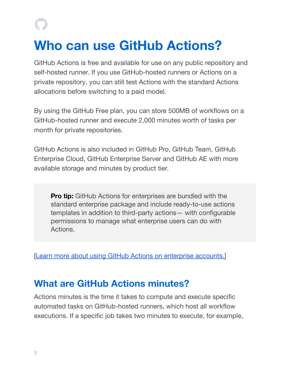# <span id="page-7-0"></span>**Who can use GitHub Actions?**

GitHub Actions is free and available for use on any public repository and self-hosted runner. If you use GitHub-hosted runners or Actions on a private repository, you can still test Actions with the standard Actions allocations before switching to a paid model.

By using the GitHub Free plan, you can store 500MB of workflows on a GitHub-hosted runner and execute 2,000 minutes worth of tasks per month for private repositories.

GitHub Actions is also included in GitHub Pro, GitHub Team, GitHub Enterprise Cloud, GitHub Enterprise Server and GitHub AE with more available storage and minutes by product tier.

**Pro tip:** GitHub Actions for enterprises are bundled with the standard enterprise package and include ready-to-use actions templates in addition to third-party actions— with configurable permissions to manage what enterprise users can do with Actions.

[Learn more about using GitHub Actions on [enterprise](https://docs.github.com/en/enterprise-server@2.22/admin/github-actions/managing-access-to-actions-from-githubcom/about-using-actions-in-your-enterprise?scid=7013o000002CceTAAS) accounts.]

### <span id="page-7-1"></span>**What are GitHub Actions minutes?**

Actions minutes is the time it takes to compute and execute specific automated tasks on GitHub-hosted runners, which host all workflow executions. If a specific job takes two minutes to execute, for example,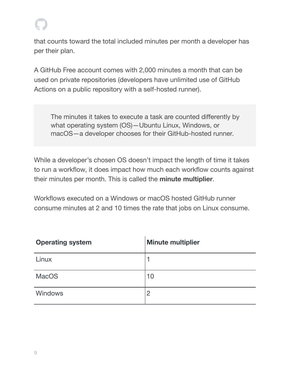that counts toward the total included minutes per month a developer has per their plan.

A GitHub Free account comes with 2,000 minutes a month that can be used on private repositories (developers have unlimited use of GitHub Actions on a public repository with a self-hosted runner).

The minutes it takes to execute a task are counted differently by what operating system (OS)—Ubuntu Linux, Windows, or macOS—a developer chooses for their GitHub-hosted runner.

While a developer's chosen OS doesn't impact the length of time it takes to run a workflow, it does impact how much each workflow counts against their minutes per month. This is called the **minute multiplier**.

Workflows executed on a Windows or macOS hosted GitHub runner consume minutes at 2 and 10 times the rate that jobs on Linux consume.

| <b>Operating system</b> | <b>Minute multiplier</b> |
|-------------------------|--------------------------|
| Linux                   |                          |
| <b>MacOS</b>            | 10                       |
| <b>Windows</b>          | $\overline{2}$           |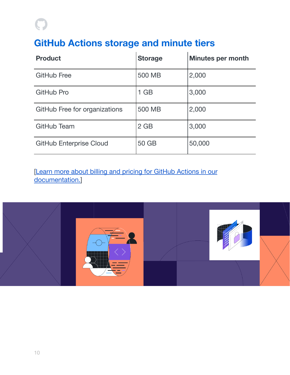### **GitHub Actions storage and minute tiers**

| <b>Product</b>                 | <b>Storage</b> | <b>Minutes per month</b> |
|--------------------------------|----------------|--------------------------|
| <b>GitHub Free</b>             | 500 MB         | 2,000                    |
| GitHub Pro                     | $1$ GB         | 3,000                    |
| GitHub Free for organizations  | 500 MB         | 2,000                    |
| GitHub Team                    | $2$ GB         | 3,000                    |
| <b>GitHub Enterprise Cloud</b> | 50 GB          | 50,000                   |

[Learn more about billing and pricing for GitHub [Actions](https://docs.github.com/en/billing/managing-billing-for-github-actions/about-billing-for-github-actions?scid=7013o000002CceTAAS) in our [documentation.\]](https://docs.github.com/en/billing/managing-billing-for-github-actions/about-billing-for-github-actions?scid=7013o000002CceTAAS)

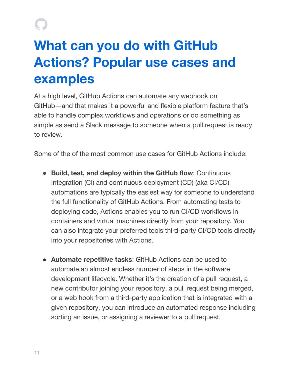# **What can you do with GitHub Actions? Popular use cases and examples**

<span id="page-10-0"></span>At a high level, GitHub Actions can automate any webhook on GitHub—and that makes it a powerful and flexible platform feature that's able to handle complex workflows and operations or do something as simple as send a Slack message to someone when a pull request is ready to review.

Some of the of the most common use cases for GitHub Actions include:

- **Build, test, and deploy within the GitHub flow**: Continuous Integration (CI) and continuous deployment (CD) (aka CI/CD) automations are typically the easiest way for someone to understand the full functionality of GitHub Actions. From automating tests to deploying code, Actions enables you to run CI/CD workflows in containers and virtual machines directly from your repository. You can also integrate your preferred tools third-party CI/CD tools directly into your repositories with Actions.
- **Automate repetitive tasks**: GitHub Actions can be used to automate an almost endless number of steps in the software development lifecycle. Whether it's the creation of a pull request, a new contributor joining your repository, a pull request being merged, or a web hook from a third-party application that is integrated with a given repository, you can introduce an automated response including sorting an issue, or assigning a reviewer to a pull request.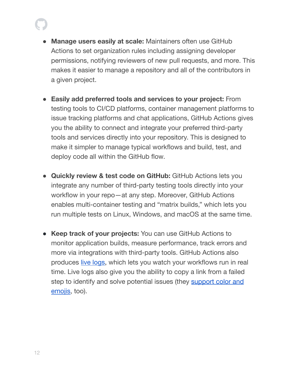- **Manage users easily at scale:** Maintainers often use GitHub Actions to set organization rules including assigning developer permissions, notifying reviewers of new pull requests, and more. This makes it easier to manage a repository and all of the contributors in a given project.
- **Easily add preferred tools and services to your project:** From testing tools to CI/CD platforms, container management platforms to issue tracking platforms and chat applications, GitHub Actions gives you the ability to connect and integrate your preferred third-party tools and services directly into your repository. This is designed to make it simpler to manage typical workflows and build, test, and deploy code all within the GitHub flow.
- **● Quickly review & test code on GitHub:** GitHub Actions lets you integrate any number of third-party testing tools directly into your workflow in your repo—at any step. Moreover, GitHub Actions enables multi-container testing and "matrix builds," which lets you run multiple tests on Linux, Windows, and macOS at the same time.
- **● Keep track of your projects:** You can use GitHub Actions to monitor application builds, measure performance, track errors and more via integrations with third-party tools. GitHub Actions also produces live [logs,](https://docs.github.com/en/actions/monitoring-and-troubleshooting-workflows/using-workflow-run-logs?scid=7013o000002CceTAAS) which lets you watch your workflows run in real time. Live logs also give you the ability to copy a link from a failed step to identify and solve potential issues (they [support](https://twitter.com/iamdevloper/status/1153988021085016064) color and [emojis,](https://twitter.com/iamdevloper/status/1153988021085016064) too).